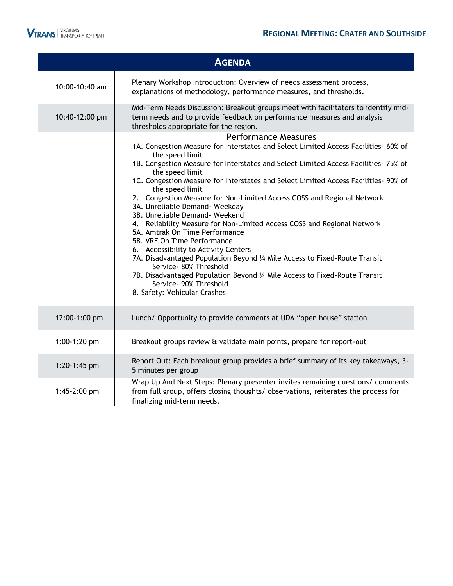

|                | <b>AGENDA</b>                                                                                                                                                                                                                                                                                                                                                                                                                                                                                                                                                                                                                                                                                                                                                                                                                                                                                                                               |
|----------------|---------------------------------------------------------------------------------------------------------------------------------------------------------------------------------------------------------------------------------------------------------------------------------------------------------------------------------------------------------------------------------------------------------------------------------------------------------------------------------------------------------------------------------------------------------------------------------------------------------------------------------------------------------------------------------------------------------------------------------------------------------------------------------------------------------------------------------------------------------------------------------------------------------------------------------------------|
| 10:00-10:40 am | Plenary Workshop Introduction: Overview of needs assessment process,<br>explanations of methodology, performance measures, and thresholds.                                                                                                                                                                                                                                                                                                                                                                                                                                                                                                                                                                                                                                                                                                                                                                                                  |
| 10:40-12:00 pm | Mid-Term Needs Discussion: Breakout groups meet with facilitators to identify mid-<br>term needs and to provide feedback on performance measures and analysis<br>thresholds appropriate for the region.                                                                                                                                                                                                                                                                                                                                                                                                                                                                                                                                                                                                                                                                                                                                     |
|                | <b>Performance Measures</b><br>1A. Congestion Measure for Interstates and Select Limited Access Facilities- 60% of<br>the speed limit<br>1B. Congestion Measure for Interstates and Select Limited Access Facilities- 75% of<br>the speed limit<br>1C. Congestion Measure for Interstates and Select Limited Access Facilities- 90% of<br>the speed limit<br>2. Congestion Measure for Non-Limited Access COSS and Regional Network<br>3A. Unreliable Demand- Weekday<br>3B. Unreliable Demand- Weekend<br>4. Reliability Measure for Non-Limited Access COSS and Regional Network<br>5A. Amtrak On Time Performance<br>5B. VRE On Time Performance<br>6. Accessibility to Activity Centers<br>7A. Disadvantaged Population Beyond 1/4 Mile Access to Fixed-Route Transit<br>Service- 80% Threshold<br>7B. Disadvantaged Population Beyond 1/4 Mile Access to Fixed-Route Transit<br>Service- 90% Threshold<br>8. Safety: Vehicular Crashes |
| 12:00-1:00 pm  | Lunch/ Opportunity to provide comments at UDA "open house" station                                                                                                                                                                                                                                                                                                                                                                                                                                                                                                                                                                                                                                                                                                                                                                                                                                                                          |
| 1:00-1:20 pm   | Breakout groups review & validate main points, prepare for report-out                                                                                                                                                                                                                                                                                                                                                                                                                                                                                                                                                                                                                                                                                                                                                                                                                                                                       |
| 1:20-1:45 pm   | Report Out: Each breakout group provides a brief summary of its key takeaways, 3-<br>5 minutes per group                                                                                                                                                                                                                                                                                                                                                                                                                                                                                                                                                                                                                                                                                                                                                                                                                                    |
| 1:45-2:00 pm   | Wrap Up And Next Steps: Plenary presenter invites remaining questions/ comments<br>from full group, offers closing thoughts/ observations, reiterates the process for<br>finalizing mid-term needs.                                                                                                                                                                                                                                                                                                                                                                                                                                                                                                                                                                                                                                                                                                                                         |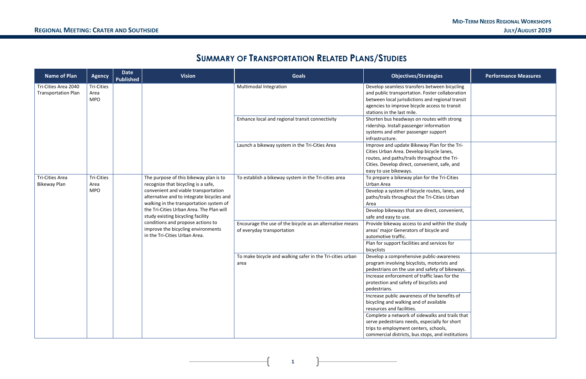#### **MID-TERM NEEDS REGIONAL WORKSHOPS REGIONAL MEETING: CRATER AND SOUTHSIDE JULY/AUGUST 2019**

**1**

## **SUMMARY OF TRANSPORTATION RELATED PLANS/STUDIES**

| <b>Name of Plan</b>                                | <b>Agency</b>                           | Date<br><b>Published</b> | <b>Vision</b>                                                                                                                                                                                                                                                                                                                                                                                              | <b>Goals</b>                                                      | <b>Objectives/Strategies</b>                                                                                                                                                                                                                                                                                                                                                                                                                                                                                                                                                  | <b>Performance Measures</b>                                                                                                                                                   |  |
|----------------------------------------------------|-----------------------------------------|--------------------------|------------------------------------------------------------------------------------------------------------------------------------------------------------------------------------------------------------------------------------------------------------------------------------------------------------------------------------------------------------------------------------------------------------|-------------------------------------------------------------------|-------------------------------------------------------------------------------------------------------------------------------------------------------------------------------------------------------------------------------------------------------------------------------------------------------------------------------------------------------------------------------------------------------------------------------------------------------------------------------------------------------------------------------------------------------------------------------|-------------------------------------------------------------------------------------------------------------------------------------------------------------------------------|--|
| Tri-Cities Area 2040<br><b>Transportation Plan</b> | <b>Tri-Cities</b><br>Area<br><b>MPO</b> |                          |                                                                                                                                                                                                                                                                                                                                                                                                            | Multimodal Integration                                            | Develop seamless transfers between bicycling<br>and public transportation. Foster collaboration<br>between local jurisdictions and regional transit<br>agencies to improve bicycle access to transit<br>stations in the last mile.                                                                                                                                                                                                                                                                                                                                            |                                                                                                                                                                               |  |
|                                                    |                                         |                          |                                                                                                                                                                                                                                                                                                                                                                                                            |                                                                   | Enhance local and regional transit connectivity                                                                                                                                                                                                                                                                                                                                                                                                                                                                                                                               | Shorten bus headways on routes with strong<br>ridership. Install passenger information<br>systems and other passenger support<br>infrastructure.                              |  |
|                                                    |                                         |                          |                                                                                                                                                                                                                                                                                                                                                                                                            | Launch a bikeway system in the Tri-Cities Area                    | Improve and update Bikeway Plan for the Tri-<br>Cities Urban Area. Develop bicycle lanes,<br>routes, and paths/trails throughout the Tri-<br>Cities. Develop direct, convenient, safe, and<br>easy to use bikeways.                                                                                                                                                                                                                                                                                                                                                           |                                                                                                                                                                               |  |
| Tri-Cities Area<br><b>Bikeway Plan</b>             | <b>Tri-Cities</b><br>Area<br><b>MPO</b> |                          | The purpose of this bikeway plan is to<br>recognize that bicycling is a safe,<br>convenient and viable transportation<br>alternative and to integrate bicycles and<br>walking in the transportation system of<br>the Tri-Cities Urban Area. The Plan will<br>study existing bicycling facility<br>conditions and propose actions to<br>improve the bicycling environments<br>in the Tri-Cities Urban Area. | To establish a bikeway system in the Tri-cities area              | To prepare a bikeway plan for the Tri-Cities<br>Urban Area<br>Develop a system of bicycle routes, lanes, and<br>paths/trails throughout the Tri-Cities Urban<br>Area<br>Develop bikeways that are direct, convenient,<br>safe and easy to use.                                                                                                                                                                                                                                                                                                                                |                                                                                                                                                                               |  |
|                                                    |                                         |                          |                                                                                                                                                                                                                                                                                                                                                                                                            |                                                                   | Encourage the use of the bicycle as an alternative means<br>of everyday transportation                                                                                                                                                                                                                                                                                                                                                                                                                                                                                        | Provide bikeway access to and within the study<br>areas' major Generators of bicycle and<br>automotive traffic.<br>Plan for support facilities and services for<br>bicyclists |  |
|                                                    |                                         |                          |                                                                                                                                                                                                                                                                                                                                                                                                            | To make bicycle and walking safer in the Tri-cities urban<br>area | Develop a comprehensive public-awareness<br>program involving bicyclists, motorists and<br>pedestrians on the use and safety of bikeways.<br>Increase enforcement of traffic laws for the<br>protection and safety of bicyclists and<br>pedestrians.<br>Increase public awareness of the benefits of<br>bicycling and walking and of available<br>resources and facilities.<br>Complete a network of sidewalks and trails that<br>serve pedestrians needs, especially for short<br>trips to employment centers, schools,<br>commercial districts, bus stops, and institutions |                                                                                                                                                                               |  |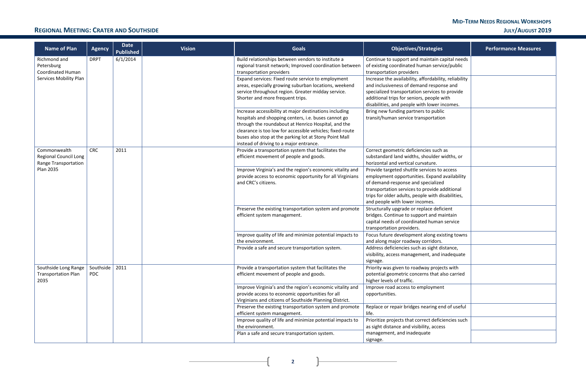## **MID-TERM NEEDS REGIONAL WORKSHOPS**

| <b>Performance Measures</b> |
|-----------------------------|
|                             |
|                             |
|                             |
|                             |
|                             |
|                             |
|                             |
|                             |
|                             |
|                             |
|                             |
|                             |
|                             |

### **REGIONAL MEETING: CRATER AND SOUTHSIDE JULY/AUGUST 2019**

**2**

f.

|                                                 | <b>Name of Plan</b>                                           | <b>Agency</b>                        | <b>Date</b><br><b>Published</b> | <b>Vision</b>                                                                           | <b>Goals</b>                                                                                                                                                                                                                                                                                                                            | <b>Objectives/Strategies</b>                                                                                                                                                                                                                     | <b>Performance Measures</b> |  |  |                                                                                                                                                                                 |                                                                                                                                                                                                                                          |  |
|-------------------------------------------------|---------------------------------------------------------------|--------------------------------------|---------------------------------|-----------------------------------------------------------------------------------------|-----------------------------------------------------------------------------------------------------------------------------------------------------------------------------------------------------------------------------------------------------------------------------------------------------------------------------------------|--------------------------------------------------------------------------------------------------------------------------------------------------------------------------------------------------------------------------------------------------|-----------------------------|--|--|---------------------------------------------------------------------------------------------------------------------------------------------------------------------------------|------------------------------------------------------------------------------------------------------------------------------------------------------------------------------------------------------------------------------------------|--|
| Richmond and<br>Petersburg<br>Coordinated Human |                                                               | <b>DRPT</b>                          | 6/1/2014                        |                                                                                         | Build relationships between vendors to institute a<br>regional transit network; Improved coordination between<br>transportation providers                                                                                                                                                                                               | Continue to support and maintain capital needs<br>of existing coordinated human service/public<br>transportation providers                                                                                                                       |                             |  |  |                                                                                                                                                                                 |                                                                                                                                                                                                                                          |  |
|                                                 | Services Mobility Plan                                        |                                      |                                 |                                                                                         | Expand services: Fixed route service to employment<br>areas, especially growing suburban locations, weekend<br>service throughout region. Greater midday service.<br>Shorter and more frequent trips.                                                                                                                                   | Increase the availability, affordability, reliability<br>and inclusiveness of demand response and<br>specialized transportation services to provide<br>additional trips for seniors, people with<br>disabilities, and people with lower incomes. |                             |  |  |                                                                                                                                                                                 |                                                                                                                                                                                                                                          |  |
|                                                 |                                                               |                                      |                                 |                                                                                         | Increase accessibility at major destinations including<br>hospitals and shopping centers, i.e. buses cannot go<br>through the roundabout at Henrico Hospital, and the<br>clearance is too low for accessible vehicles; fixed-route<br>buses also stop at the parking lot at Stony Point Mall<br>instead of driving to a major entrance. | Bring new funding partners to public<br>transit/human service transportation                                                                                                                                                                     |                             |  |  |                                                                                                                                                                                 |                                                                                                                                                                                                                                          |  |
|                                                 | Commonwealth<br>Regional Council Long<br>Range Transportation | <b>CRC</b>                           | 2011                            |                                                                                         | Provide a transportation system that facilitates the<br>efficient movement of people and goods.                                                                                                                                                                                                                                         | Correct geometric deficiencies such as<br>substandard land widths, shoulder widths, or<br>horizontal and vertical curvature.                                                                                                                     |                             |  |  |                                                                                                                                                                                 |                                                                                                                                                                                                                                          |  |
|                                                 | <b>Plan 2035</b>                                              |                                      |                                 |                                                                                         |                                                                                                                                                                                                                                                                                                                                         |                                                                                                                                                                                                                                                  |                             |  |  | Improve Virginia's and the region's economic vitality and<br>provide access to economic opportunity for all Virginians<br>and CRC's citizens.<br>and people with lower incomes. | Provide targeted shuttle services to access<br>employment opportunities. Expand availability<br>of demand-response and specialized<br>transportation services to provide additional<br>trips for older adults, people with disabilities, |  |
|                                                 |                                                               |                                      |                                 | Preserve the existing transportation system and promote<br>efficient system management. | Structurally upgrade or replace deficient<br>bridges. Continue to support and maintain<br>capital needs of coordinated human service<br>transportation providers.                                                                                                                                                                       |                                                                                                                                                                                                                                                  |                             |  |  |                                                                                                                                                                                 |                                                                                                                                                                                                                                          |  |
|                                                 |                                                               |                                      |                                 |                                                                                         | Improve quality of life and minimize potential impacts to<br>the environment.                                                                                                                                                                                                                                                           | Focus future development along existing towns<br>and along major roadway corridors.                                                                                                                                                              |                             |  |  |                                                                                                                                                                                 |                                                                                                                                                                                                                                          |  |
|                                                 |                                                               |                                      |                                 |                                                                                         | Provide a safe and secure transportation system.                                                                                                                                                                                                                                                                                        | Address deficiencies such as sight distance,<br>visibility, access management, and inadequate<br>signage.                                                                                                                                        |                             |  |  |                                                                                                                                                                                 |                                                                                                                                                                                                                                          |  |
|                                                 | Southside Long Range<br><b>Transportation Plan</b><br>2035    | Southside $\vert$ 2011<br><b>PDC</b> |                                 |                                                                                         | Provide a transportation system that facilitates the<br>efficient movement of people and goods.                                                                                                                                                                                                                                         | Priority was given to roadway projects with<br>potential geometric concerns that also carried<br>higher levels of traffic.                                                                                                                       |                             |  |  |                                                                                                                                                                                 |                                                                                                                                                                                                                                          |  |
|                                                 |                                                               |                                      |                                 |                                                                                         | Improve Virginia's and the region's economic vitality and<br>provide access to economic opportunities for all<br>Virginians and citizens of Southside Planning District.                                                                                                                                                                | Improve road access to employment<br>opportunities.                                                                                                                                                                                              |                             |  |  |                                                                                                                                                                                 |                                                                                                                                                                                                                                          |  |
|                                                 |                                                               |                                      |                                 |                                                                                         | Preserve the existing transportation system and promote<br>efficient system management.                                                                                                                                                                                                                                                 | Replace or repair bridges nearing end of useful<br>life.                                                                                                                                                                                         |                             |  |  |                                                                                                                                                                                 |                                                                                                                                                                                                                                          |  |
|                                                 |                                                               |                                      |                                 |                                                                                         | Improve quality of life and minimize potential impacts to<br>the environment.                                                                                                                                                                                                                                                           | Prioritize projects that correct deficiencies such<br>as sight distance and visibility, access                                                                                                                                                   |                             |  |  |                                                                                                                                                                                 |                                                                                                                                                                                                                                          |  |
|                                                 |                                                               |                                      |                                 |                                                                                         | Plan a safe and secure transportation system.                                                                                                                                                                                                                                                                                           | management, and inadequate<br>signage.                                                                                                                                                                                                           |                             |  |  |                                                                                                                                                                                 |                                                                                                                                                                                                                                          |  |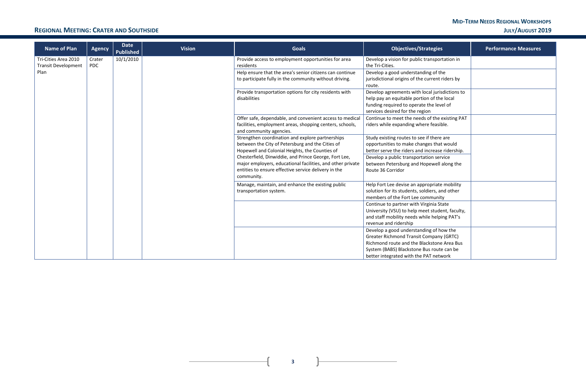# **MID-TERM NEEDS REGIONAL WORKSHOPS**

### **REGIONAL MEETING: CRATER AND SOUTHSIDE JULY/AUGUST 2019**

 $\mathbf{R}$ 

 $\overline{+}$ 

| <b>Name of Plan</b>                                | <b>Agency</b>        | <b>Date</b><br><b>Published</b> | <b>Vision</b> | <b>Goals</b>                                                                                                                                                                                                                                                                                                                                        | <b>Objectives/Strategies</b>                                                                                                                                                                                                                          | <b>Performance Measures</b> |  |  |                                                                                                                                                                     |  |  |  |  |  |  |  |  |  |  |  |  |  |                                                                             |                                                                                                                                     |  |
|----------------------------------------------------|----------------------|---------------------------------|---------------|-----------------------------------------------------------------------------------------------------------------------------------------------------------------------------------------------------------------------------------------------------------------------------------------------------------------------------------------------------|-------------------------------------------------------------------------------------------------------------------------------------------------------------------------------------------------------------------------------------------------------|-----------------------------|--|--|---------------------------------------------------------------------------------------------------------------------------------------------------------------------|--|--|--|--|--|--|--|--|--|--|--|--|--|-----------------------------------------------------------------------------|-------------------------------------------------------------------------------------------------------------------------------------|--|
| Tri-Cities Area 2010<br><b>Transit Development</b> | Crater<br><b>PDC</b> | 10/1/2010                       |               | Provide access to employment opportunities for area<br>residents                                                                                                                                                                                                                                                                                    | Develop a vision for public transportation in<br>the Tri-Cities.                                                                                                                                                                                      |                             |  |  |                                                                                                                                                                     |  |  |  |  |  |  |  |  |  |  |  |  |  |                                                                             |                                                                                                                                     |  |
| Plan                                               |                      |                                 |               | Help ensure that the area's senior citizens can continue<br>to participate fully in the community without driving.                                                                                                                                                                                                                                  | Develop a good understanding of the<br>jurisdictional origins of the current riders by<br>route.                                                                                                                                                      |                             |  |  |                                                                                                                                                                     |  |  |  |  |  |  |  |  |  |  |  |  |  |                                                                             |                                                                                                                                     |  |
|                                                    |                      |                                 |               | Provide transportation options for city residents with<br>disabilities                                                                                                                                                                                                                                                                              | Develop agreements with local jurisdictions to<br>help pay an equitable portion of the local<br>funding required to operate the level of<br>services desired for the region                                                                           |                             |  |  |                                                                                                                                                                     |  |  |  |  |  |  |  |  |  |  |  |  |  |                                                                             |                                                                                                                                     |  |
|                                                    |                      |                                 |               | Offer safe, dependable, and convenient access to medical<br>facilities, employment areas, shopping centers, schools,<br>and community agencies.                                                                                                                                                                                                     | Continue to meet the needs of the existing PAT<br>riders while expanding where feasible.                                                                                                                                                              |                             |  |  |                                                                                                                                                                     |  |  |  |  |  |  |  |  |  |  |  |  |  |                                                                             |                                                                                                                                     |  |
|                                                    |                      |                                 |               | Strengthen coordination and explore partnerships<br>between the City of Petersburg and the Cities of<br>Hopewell and Colonial Heights, the Counties of<br>Chesterfield, Dinwiddie, and Prince George, Fort Lee,<br>major employers, educational facilities, and other private<br>entities to ensure effective service delivery in the<br>community. | Study existing routes to see if there are<br>opportunities to make changes that would<br>better serve the riders and increase ridership.<br>Develop a public transportation service<br>between Petersburg and Hopewell along the<br>Route 36 Corridor |                             |  |  |                                                                                                                                                                     |  |  |  |  |  |  |  |  |  |  |  |  |  |                                                                             |                                                                                                                                     |  |
|                                                    |                      |                                 |               |                                                                                                                                                                                                                                                                                                                                                     |                                                                                                                                                                                                                                                       |                             |  |  |                                                                                                                                                                     |  |  |  |  |  |  |  |  |  |  |  |  |  | Manage, maintain, and enhance the existing public<br>transportation system. | Help Fort Lee devise an appropriate mobility<br>solution for its students, soldiers, and other<br>members of the Fort Lee community |  |
|                                                    |                      |                                 |               |                                                                                                                                                                                                                                                                                                                                                     |                                                                                                                                                                                                                                                       |                             |  |  | Continue to partner with Virginia State<br>University (VSU) to help meet student, faculty,<br>and staff mobility needs while helping PAT's<br>revenue and ridership |  |  |  |  |  |  |  |  |  |  |  |  |  |                                                                             |                                                                                                                                     |  |
|                                                    |                      |                                 |               |                                                                                                                                                                                                                                                                                                                                                     | Develop a good understanding of how the<br><b>Greater Richmond Transit Company (GRTC)</b><br>Richmond route and the Blackstone Area Bus<br>System (BABS) Blackstone Bus route can be<br>better integrated with the PAT network                        |                             |  |  |                                                                                                                                                                     |  |  |  |  |  |  |  |  |  |  |  |  |  |                                                                             |                                                                                                                                     |  |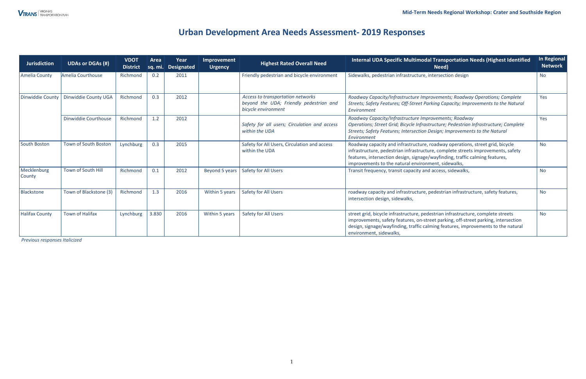## **Urban Development Area Needs Assessment- 2019 Responses**

*Previous responses Italicized* 

| Jurisdiction                 | <b>UDAs or DGAs (#)</b> | <b>VDOT</b><br><b>District</b> | Area  | Year<br>sq. mi. Designated | Improvement<br><b>Urgency</b> | <b>Highest Rated Overall Need</b>                                                                   | Internal UDA Specific Multimodal Transportation Needs (Highest Identified<br>Need)                                                                                                                                                                                                                       | <b>In Regional</b><br><b>Network</b> |
|------------------------------|-------------------------|--------------------------------|-------|----------------------------|-------------------------------|-----------------------------------------------------------------------------------------------------|----------------------------------------------------------------------------------------------------------------------------------------------------------------------------------------------------------------------------------------------------------------------------------------------------------|--------------------------------------|
| Amelia County                | Amelia Courthouse       | Richmond                       | 0.2   | 2011                       |                               | Friendly pedestrian and bicycle environment                                                         | Sidewalks, pedestrian infrastructure, intersection design                                                                                                                                                                                                                                                | <b>No</b>                            |
| Dinwiddie County             | Dinwiddie County UGA    | Richmond                       | 0.3   | 2012                       |                               | Access to transportation networks<br>beyond the UDA; Friendly pedestrian and<br>bicycle environment | Roadway Capacity/Infrastructure Improvements; Roadway Operations; Complete<br>Streets; Safety Features; Off-Street Parking Capacity; Improvements to the Natural<br>Environment                                                                                                                          | Yes                                  |
|                              | Dinwiddie Courthouse    | Richmond                       | 1.2   | 2012                       |                               | Safety for all users; Circulation and access<br>within the UDA                                      | Roadway Capacity/Infrastructure Improvements; Roadway<br>Operations; Street Grid; Bicycle Infrastructure; Pedestrian Infrastructure; Complete<br>Streets; Safety Features; Intersection Design; Improvements to the Natural<br>Environment                                                               | Yes                                  |
| South Boston                 | Town of South Boston    | Lynchburg                      | 0.3   | 2015                       |                               | Safety for All Users, Circulation and access<br>within the UDA                                      | Roadway capacity and infrastructure, roadway operations, street grid, bicycle<br>infrastructure, pedestrian infrastructure, complete streets improvements, safety<br>features, intersection design, signage/wayfinding, traffic calming features,<br>improvements to the natural environment, sidewalks, | <b>No</b>                            |
| Mecklenburg<br><b>County</b> | Town of South Hill      | Richmond                       | 0.1   | 2012                       | Beyond 5 years                | Safety for All Users                                                                                | Transit frequency, transit capacity and access, sidewalks,                                                                                                                                                                                                                                               | <b>No</b>                            |
| Blackstone                   | Town of Blackstone (3)  | Richmond                       | 1.3   | 2016                       | Within 5 years                | Safety for All Users                                                                                | roadway capacity and infrastructure, pedestrian infrastructure, safety features,<br>intersection design, sidewalks,                                                                                                                                                                                      | <b>No</b>                            |
| <b>Halifax County</b>        | <b>Town of Halifax</b>  | Lynchburg                      | 3.830 | 2016                       | Within 5 years                | <b>Safety for All Users</b>                                                                         | street grid, bicycle infrastructure, pedestrian infrastructure, complete streets<br>improvements, safety features, on-street parking, off-street parking, intersection<br>design, signage/wayfinding, traffic calming features, improvements to the natural<br>environment, sidewalks,                   | <b>No</b>                            |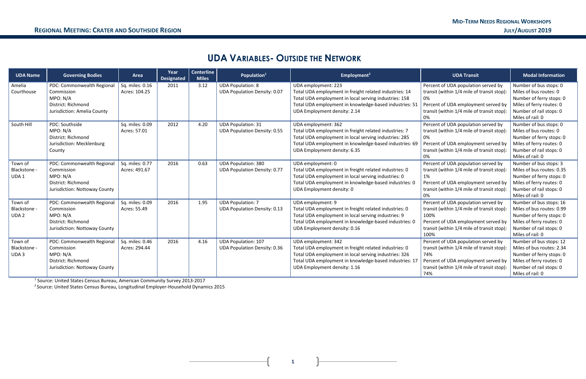**1**

## **UDA VARIABLES- OUTSIDE THE NETWORK**

| <b>UDA Name</b>  | <b>Governing Bodies</b>       | Area            | Year<br><b>Designated</b> | <b>Centerline</b><br><b>Miles</b> | Population <sup>1</sup>             | Employment <sup>2</sup>                                | <b>UDA Transit</b>                         | <b>Modal Information</b>  |
|------------------|-------------------------------|-----------------|---------------------------|-----------------------------------|-------------------------------------|--------------------------------------------------------|--------------------------------------------|---------------------------|
| Amelia           | PDC: Commonwealth Regional    | Sq. miles: 0.16 | 2011                      | 3.12                              | <b>UDA Population: 8</b>            | UDA employment: 223                                    | Percent of UDA population served by        | Number of bus stops: 0    |
| Courthouse       | Commission                    | Acres: 104.25   |                           |                                   | <b>UDA Population Density: 0.07</b> | Total UDA employment in freight related industries: 14 | transit (within 1/4 mile of transit stop): | Miles of bus routes: 0    |
|                  | MPO: N/A                      |                 |                           |                                   |                                     | Total UDA employment in local serving industries: 158  | 0%                                         | Number of ferry stops: 0  |
|                  | District: Richmond            |                 |                           |                                   |                                     | Total UDA employment in knowledge-based industries: 51 | Percent of UDA employment served by        | Miles of ferry routes: 0  |
|                  | Jurisdiction: Amelia County   |                 |                           |                                   |                                     | UDA Employment density: 2.14                           | transit (within 1/4 mile of transit stop): | Number of rail stops: 0   |
|                  |                               |                 |                           |                                   |                                     |                                                        | 0%                                         | Miles of rail: 0          |
| South Hill       | PDC: Southside                | Sq. miles: 0.09 | 2012                      | 4.20                              | <b>UDA Population: 31</b>           | UDA employment: 362                                    | Percent of UDA population served by        | Number of bus stops: 0    |
|                  | MPO: N/A                      | Acres: 57.01    |                           |                                   | <b>UDA Population Density: 0.55</b> | Total UDA employment in freight related industries: 7  | transit (within 1/4 mile of transit stop): | Miles of bus routes: 0    |
|                  | District: Richmond            |                 |                           |                                   |                                     | Total UDA employment in local serving industries: 285  | 0%                                         | Number of ferry stops: 0  |
|                  | Jurisdiction: Mecklenburg     |                 |                           |                                   |                                     | Total UDA employment in knowledge-based industries: 69 | Percent of UDA employment served by        | Miles of ferry routes: 0  |
|                  | County                        |                 |                           |                                   |                                     | UDA Employment density: 6.35                           | transit (within 1/4 mile of transit stop): | Number of rail stops: 0   |
|                  |                               |                 |                           |                                   |                                     |                                                        |                                            | Miles of rail: 0          |
| Town of          | PDC: Commonwealth Regional    | Sq. miles: 0.77 | 2016                      | 0.63                              | <b>UDA Population: 380</b>          | UDA employment: 0                                      | Percent of UDA population served by        | Number of bus stops: 3    |
| Blackstone -     | Commission                    | Acres: 491.67   |                           |                                   | <b>UDA Population Density: 0.77</b> | Total UDA employment in freight related industries: 0  | transit (within 1/4 mile of transit stop): | Miles of bus routes: 0.35 |
| UDA1             | MPO: N/A                      |                 |                           |                                   |                                     | Total UDA employment in local serving industries: 0    | 1%                                         | Number of ferry stops: 0  |
|                  | District: Richmond            |                 |                           |                                   |                                     | Total UDA employment in knowledge-based industries: 0  | Percent of UDA employment served by        | Miles of ferry routes: 0  |
|                  | Jurisdiction: Nottoway County |                 |                           |                                   |                                     | UDA Employment density: 0                              | transit (within 1/4 mile of transit stop): | Number of rail stops: 0   |
|                  |                               |                 |                           |                                   |                                     |                                                        |                                            | Miles of rail: 0          |
| Town of          | PDC: Commonwealth Regional    | Sq. miles: 0.09 | 2016                      | 1.95                              | <b>UDA Population: 7</b>            | UDA employment: 9                                      | Percent of UDA population served by        | Number of bus stops: 16   |
| Blackstone -     | Commission                    | Acres: 55.49    |                           |                                   | <b>UDA Population Density: 0.13</b> | Total UDA employment in freight related industries: 0  | transit (within 1/4 mile of transit stop): | Miles of bus routes: 0.99 |
| UDA <sub>2</sub> | MPO: N/A                      |                 |                           |                                   |                                     | Total UDA employment in local serving industries: 9    | 100%                                       | Number of ferry stops: 0  |
|                  | District: Richmond            |                 |                           |                                   |                                     | Total UDA employment in knowledge-based industries: 0  | Percent of UDA employment served by        | Miles of ferry routes: 0  |
|                  | Jurisdiction: Nottoway County |                 |                           |                                   |                                     | UDA Employment density: 0.16                           | transit (within 1/4 mile of transit stop): | Number of rail stops: 0   |
|                  |                               |                 |                           |                                   |                                     |                                                        | 100%                                       | Miles of rail: 0          |
| Town of          | PDC: Commonwealth Regional    | Sq. miles: 0.46 | 2016                      | 4.16                              | <b>UDA Population: 107</b>          | UDA employment: 342                                    | Percent of UDA population served by        | Number of bus stops: 12   |
| Blackstone -     | Commission                    | Acres: 294.44   |                           |                                   | <b>UDA Population Density: 0.36</b> | Total UDA employment in freight related industries: 0  | transit (within 1/4 mile of transit stop): | Miles of bus routes: 2.34 |
| UDA <sub>3</sub> | MPO: N/A                      |                 |                           |                                   |                                     | Total UDA employment in local serving industries: 326  | 74%                                        | Number of ferry stops: 0  |
|                  | District: Richmond            |                 |                           |                                   |                                     | Total UDA employment in knowledge-based industries: 17 | Percent of UDA employment served by        | Miles of ferry routes: 0  |
|                  | Jurisdiction: Nottoway County |                 |                           |                                   |                                     | UDA Employment density: 1.16                           | transit (within 1/4 mile of transit stop): | Number of rail stops: 0   |
|                  |                               |                 |                           |                                   |                                     |                                                        | 74%                                        | Miles of rail: 0          |

<sup>1</sup> Source: United States Census Bureau, American Community Survey 2013-2017

<sup>2</sup> Source: United States Census Bureau, Longitudinal Employer-Household Dynamics 2015